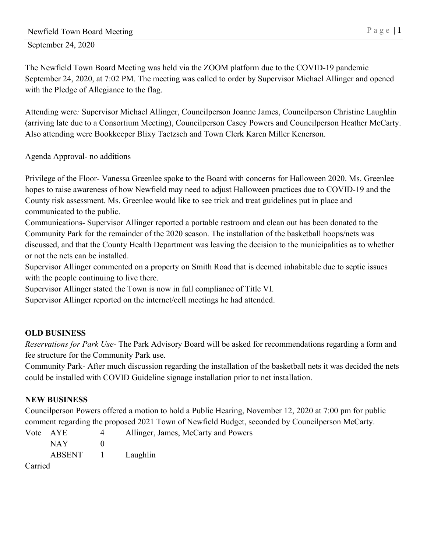The Newfield Town Board Meeting was held via the ZOOM platform due to the COVID-19 pandemic September 24, 2020, at 7:02 PM. The meeting was called to order by Supervisor Michael Allinger and opened with the Pledge of Allegiance to the flag.

Attending were*:* Supervisor Michael Allinger, Councilperson Joanne James, Councilperson Christine Laughlin (arriving late due to a Consortium Meeting), Councilperson Casey Powers and Councilperson Heather McCarty. Also attending were Bookkeeper Blixy Taetzsch and Town Clerk Karen Miller Kenerson.

Agenda Approval- no additions

Privilege of the Floor- Vanessa Greenlee spoke to the Board with concerns for Halloween 2020. Ms. Greenlee hopes to raise awareness of how Newfield may need to adjust Halloween practices due to COVID-19 and the County risk assessment. Ms. Greenlee would like to see trick and treat guidelines put in place and communicated to the public.

Communications- Supervisor Allinger reported a portable restroom and clean out has been donated to the Community Park for the remainder of the 2020 season. The installation of the basketball hoops/nets was discussed, and that the County Health Department was leaving the decision to the municipalities as to whether or not the nets can be installed.

Supervisor Allinger commented on a property on Smith Road that is deemed inhabitable due to septic issues with the people continuing to live there.

Supervisor Allinger stated the Town is now in full compliance of Title VI.

Supervisor Allinger reported on the internet/cell meetings he had attended.

## **OLD BUSINESS**

*Reservations for Park Use-* The Park Advisory Board will be asked for recommendations regarding a form and fee structure for the Community Park use.

Community Park- After much discussion regarding the installation of the basketball nets it was decided the nets could be installed with COVID Guideline signage installation prior to net installation.

## **NEW BUSINESS**

Councilperson Powers offered a motion to hold a Public Hearing, November 12, 2020 at 7:00 pm for public comment regarding the proposed 2021 Town of Newfield Budget, seconded by Councilperson McCarty.

|                 | Vote AYE          | 4 | Allinger, James, McCarty and Powers |
|-----------------|-------------------|---|-------------------------------------|
|                 | NAY 1             |   |                                     |
|                 | ABSENT 1 Laughlin |   |                                     |
| $\sim$ $\sim$ 1 |                   |   |                                     |

Carried